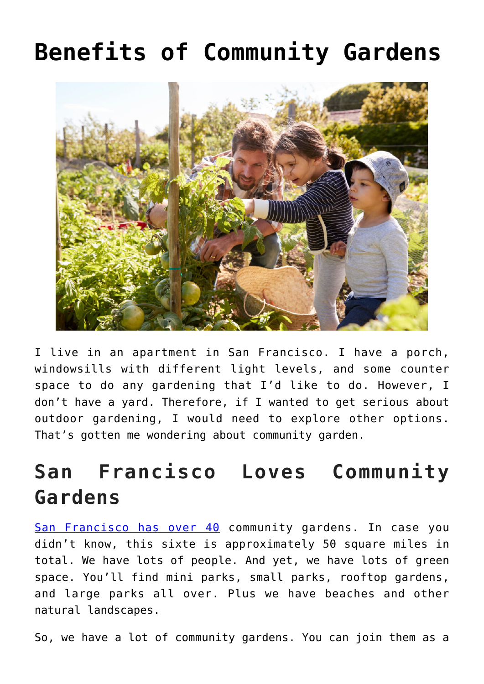# **[Benefits of Community Gardens](https://www.frugalgardening.com/benefits-of-community-gardens.html)**



I live in an apartment in San Francisco. I have a porch, windowsills with different light levels, and some counter space to do any gardening that I'd like to do. However, I don't have a yard. Therefore, if I wanted to get serious about outdoor gardening, I would need to explore other options. That's gotten me wondering about community garden.

## **San Francisco Loves Community Gardens**

[San Francisco has over 40](https://sfrecpark.org/1403/Community-Gardens) community gardens. In case you didn't know, this sixte is approximately 50 square miles in total. We have lots of people. And yet, we have lots of green space. You'll find mini parks, small parks, rooftop gardens, and large parks all over. Plus we have beaches and other natural landscapes.

So, we have a lot of community gardens. You can join them as a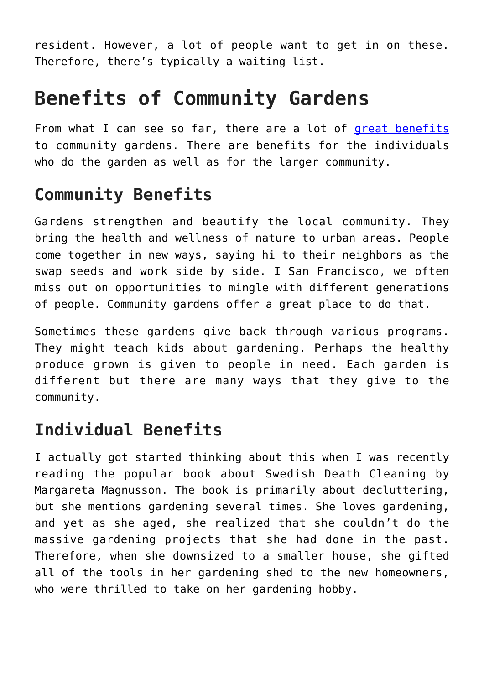resident. However, a lot of people want to get in on these. Therefore, there's typically a waiting list.

### **Benefits of Community Gardens**

From what I can see so far, there are a lot of [great benefits](http://lagardencouncil.org/benefits-of-community-gardening/) to community gardens. There are benefits for the individuals who do the garden as well as for the larger community.

#### **Community Benefits**

Gardens strengthen and beautify the local community. They bring the health and wellness of nature to urban areas. People come together in new ways, saying hi to their neighbors as the swap seeds and work side by side. I San Francisco, we often miss out on opportunities to mingle with different generations of people. Community gardens offer a great place to do that.

Sometimes these gardens give back through various programs. They might teach kids about gardening. Perhaps the healthy produce grown is given to people in need. Each garden is different but there are many ways that they give to the community.

### **Individual Benefits**

I actually got started thinking about this when I was recently reading the popular book about Swedish Death Cleaning by Margareta Magnusson. The book is primarily about decluttering, but she mentions gardening several times. She loves gardening, and yet as she aged, she realized that she couldn't do the massive gardening projects that she had done in the past. Therefore, when she downsized to a smaller house, she gifted all of the tools in her gardening shed to the new homeowners, who were thrilled to take on her gardening hobby.